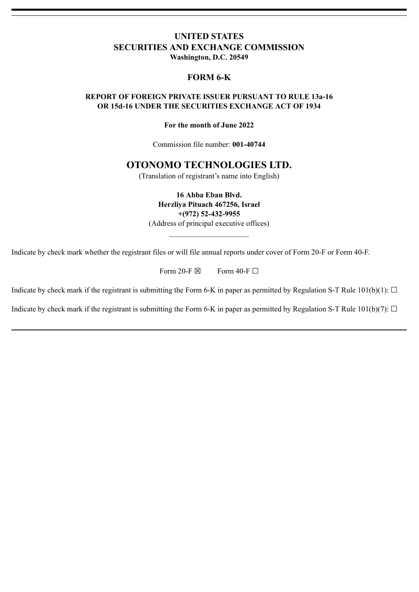# **UNITED STATES SECURITIES AND EXCHANGE COMMISSION Washington, D.C. 20549**

# **FORM 6-K**

## **REPORT OF FOREIGN PRIVATE ISSUER PURSUANT TO RULE 13a-16 OR 15d-16 UNDER THE SECURITIES EXCHANGE ACT OF 1934**

### **For the month of June 2022**

Commission file number: **001-40744**

# **OTONOMO TECHNOLOGIES LTD.**

(Translation of registrant's name into English)

**16 Abba Eban Blvd. Herzliya Pituach 467256, Israel +(972) 52-432-9955** (Address of principal executive offices)

 $\mathcal{L}_\text{max}$  and  $\mathcal{L}_\text{max}$  and  $\mathcal{L}_\text{max}$ 

Indicate by check mark whether the registrant files or will file annual reports under cover of Form 20-F or Form 40-F.

Form 20-F  $\boxtimes$  Form 40-F  $\Box$ 

Indicate by check mark if the registrant is submitting the Form 6-K in paper as permitted by Regulation S-T Rule  $101(b)(1)$ :  $\Box$ 

Indicate by check mark if the registrant is submitting the Form 6-K in paper as permitted by Regulation S-T Rule  $101(b)(7)$ :  $\Box$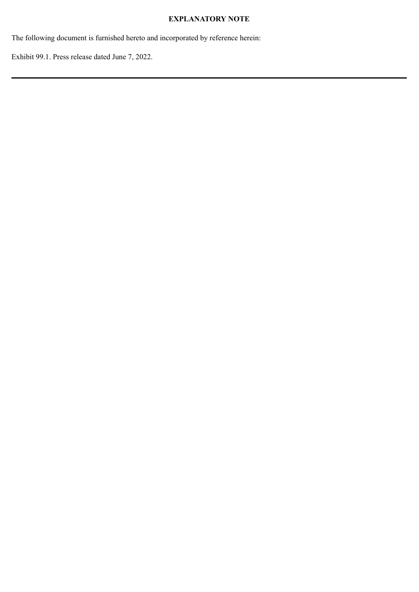# **EXPLANATORY NOTE**

The following document is furnished hereto and incorporated by reference herein:

Exhibit 99.1. Press release dated June 7, 2022.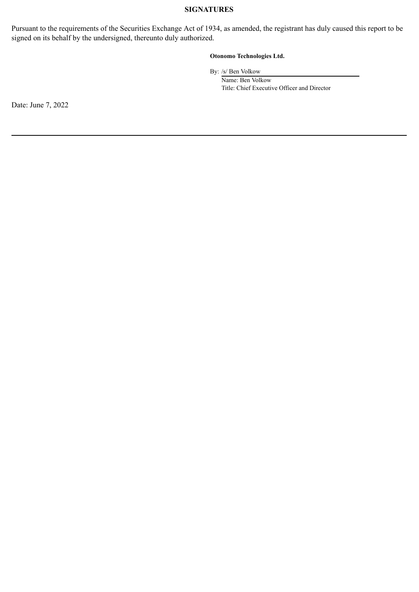### **SIGNATURES**

Pursuant to the requirements of the Securities Exchange Act of 1934, as amended, the registrant has duly caused this report to be signed on its behalf by the undersigned, thereunto duly authorized.

### **Otonomo Technologies Ltd.**

By: /s/ Ben Volkow

Name: Ben Volkow Title: Chief Executive Officer and Director

Date: June 7, 2022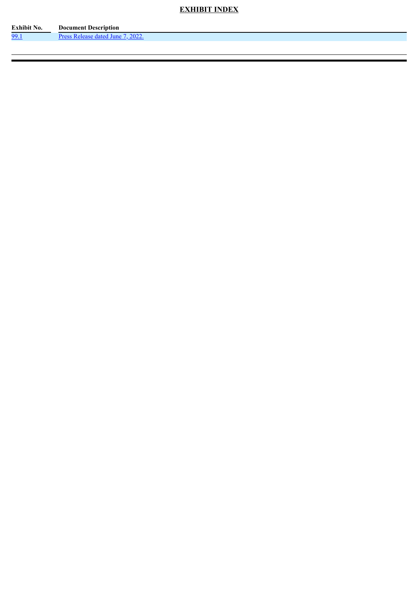# **EXHIBIT INDEX**

| Exhibit No. | <b>Document Description</b>             |
|-------------|-----------------------------------------|
| 99.1        | 2022<br>lune.<br><b>Antod</b><br>$\sim$ |
|             |                                         |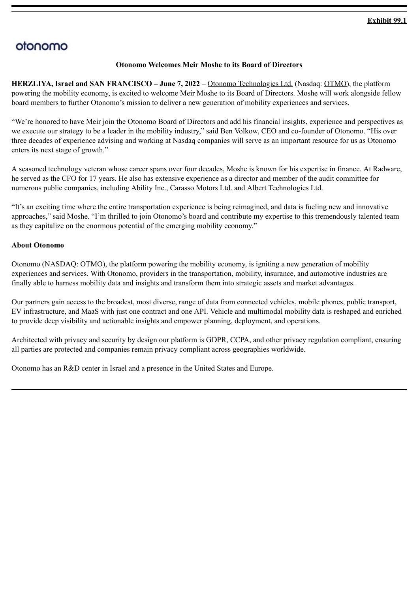# <span id="page-4-0"></span>otonomo

## **Otonomo Welcomes Meir Moshe to its Board of Directors**

**HERZLIYA, Israel and SAN FRANCISCO – June 7, 2022** – Otonomo Technologies Ltd. (Nasdaq: OTMO), the platform powering the mobility economy, is excited to welcome Meir Moshe to its Board of Directors. Moshe will work alongside fellow board members to further Otonomo's mission to deliver a new generation of mobility experiences and services.

"We're honored to have Meir join the Otonomo Board of Directors and add his financial insights, experience and perspectives as we execute our strategy to be a leader in the mobility industry," said Ben Volkow, CEO and co-founder of Otonomo. "His over three decades of experience advising and working at Nasdaq companies will serve as an important resource for us as Otonomo enters its next stage of growth."

A seasoned technology veteran whose career spans over four decades, Moshe is known for his expertise in finance. At Radware, he served as the CFO for 17 years. He also has extensive experience as a director and member of the audit committee for numerous public companies, including Ability Inc., Carasso Motors Ltd. and Albert Technologies Ltd.

"It's an exciting time where the entire transportation experience is being reimagined, and data is fueling new and innovative approaches," said Moshe. "I'm thrilled to join Otonomo's board and contribute my expertise to this tremendously talented team as they capitalize on the enormous potential of the emerging mobility economy."

## **About Otonomo**

Otonomo (NASDAQ: OTMO), the platform powering the mobility economy, is igniting a new generation of mobility experiences and services. With Otonomo, providers in the transportation, mobility, insurance, and automotive industries are finally able to harness mobility data and insights and transform them into strategic assets and market advantages.

Our partners gain access to the broadest, most diverse, range of data from connected vehicles, mobile phones, public transport, EV infrastructure, and MaaS with just one contract and one API. Vehicle and multimodal mobility data is reshaped and enriched to provide deep visibility and actionable insights and empower planning, deployment, and operations.

Architected with privacy and security by design our platform is GDPR, CCPA, and other privacy regulation compliant, ensuring all parties are protected and companies remain privacy compliant across geographies worldwide.

Otonomo has an R&D center in Israel and a presence in the United States and Europe.